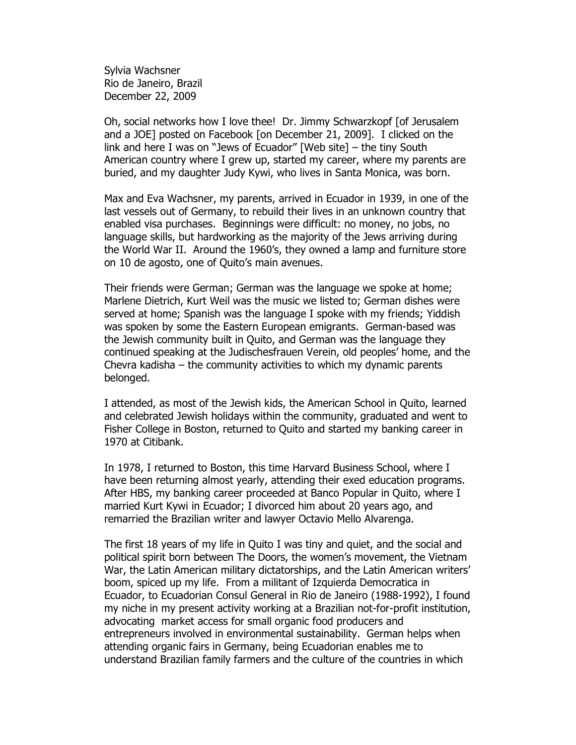Sylvia Wachsner Rio de Janeiro, Brazil December 22, 2009

Oh, social networks how I love thee! Dr. Jimmy Schwarzkopf [of Jerusalem and a JOE] posted on Facebook [on December 21, 2009]. I clicked on the link and here I was on "Jews of Ecuador" [Web site] – the tiny South American country where I grew up, started my career, where my parents are buried, and my daughter Judy Kywi, who lives in Santa Monica, was born.

Max and Eva Wachsner, my parents, arrived in Ecuador in 1939, in one of the last vessels out of Germany, to rebuild their lives in an unknown country that enabled visa purchases. Beginnings were difficult: no money, no jobs, no language skills, but hardworking as the majority of the Jews arriving during the World War II. Around the 1960's, they owned a lamp and furniture store on 10 de agosto, one of Quito's main avenues.

Their friends were German; German was the language we spoke at home; Marlene Dietrich, Kurt Weil was the music we listed to; German dishes were served at home; Spanish was the language I spoke with my friends; Yiddish was spoken by some the Eastern European emigrants. German-based was the Jewish community built in Quito, and German was the language they continued speaking at the Judischesfrauen Verein, old peoples' home, and the Chevra kadisha – the community activities to which my dynamic parents belonged.

I attended, as most of the Jewish kids, the American School in Quito, learned and celebrated Jewish holidays within the community, graduated and went to Fisher College in Boston, returned to Quito and started my banking career in 1970 at Citibank.

In 1978, I returned to Boston, this time Harvard Business School, where I have been returning almost yearly, attending their exed education programs. After HBS, my banking career proceeded at Banco Popular in Quito, where I married Kurt Kywi in Ecuador; I divorced him about 20 years ago, and remarried the Brazilian writer and lawyer Octavio Mello Alvarenga.

The first 18 years of my life in Quito I was tiny and quiet, and the social and political spirit born between The Doors, the women's movement, the Vietnam War, the Latin American military dictatorships, and the Latin American writers' boom, spiced up my life. From a militant of Izquierda Democratica in Ecuador, to Ecuadorian Consul General in Rio de Janeiro (1988-1992), I found my niche in my present activity working at a Brazilian not-for-profit institution, advocating market access for small organic food producers and entrepreneurs involved in environmental sustainability. German helps when attending organic fairs in Germany, being Ecuadorian enables me to understand Brazilian family farmers and the culture of the countries in which